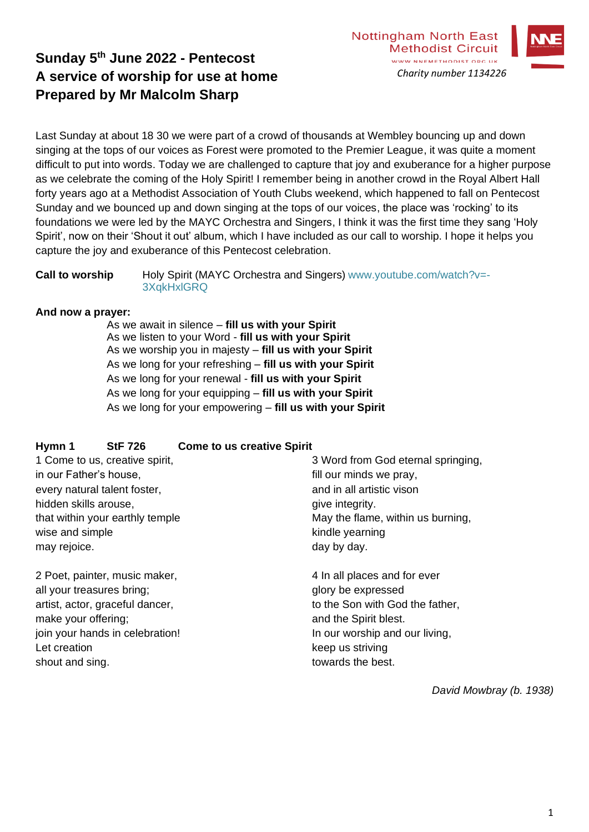



# **Sunday 5 th June 2022 - Pentecost A service of worship for use at home Prepared by Mr Malcolm Sharp**

Last Sunday at about 18 30 we were part of a crowd of thousands at Wembley bouncing up and down singing at the tops of our voices as Forest were promoted to the Premier League, it was quite a moment difficult to put into words. Today we are challenged to capture that joy and exuberance for a higher purpose as we celebrate the coming of the Holy Spirit! I remember being in another crowd in the Royal Albert Hall forty years ago at a Methodist Association of Youth Clubs weekend, which happened to fall on Pentecost Sunday and we bounced up and down singing at the tops of our voices, the place was 'rocking' to its foundations we were led by the MAYC Orchestra and Singers, I think it was the first time they sang 'Holy Spirit', now on their 'Shout it out' album, which I have included as our call to worship. I hope it helps you capture the joy and exuberance of this Pentecost celebration.

**Call to worship** Holy Spirit (MAYC Orchestra and Singers) www.youtube.com/watch?v=-3XqkHxlGRQ

### **And now a prayer:**

As we await in silence – **fill us with your Spirit** As we listen to your Word - **fill us with your Spirit** As we worship you in majesty – **fill us with your Spirit** As we long for your refreshing – **fill us with your Spirit** As we long for your renewal - **fill us with your Spirit** As we long for your equipping – **fill us with your Spirit** As we long for your empowering – **fill us with your Spirit**

# **Hymn 1 StF 726 Come to us creative Spirit**

| 1 Come to us, creative spirit,  | 3 Word from God eternal springing, |
|---------------------------------|------------------------------------|
| in our Father's house,          | fill our minds we pray,            |
| every natural talent foster,    | and in all artistic vison          |
| hidden skills arouse,           | give integrity.                    |
| that within your earthly temple | May the flame, within us burning,  |
| wise and simple                 | kindle yearning                    |
| may rejoice.                    | day by day.                        |
| 2 Poet, painter, music maker,   | 4 In all places and for ever       |
| all your treasures bring;       | glory be expressed                 |
| artist, actor, graceful dancer, | to the Son with God the father,    |
| make your offering;             | and the Spirit blest.              |
| join your hands in celebration! | In our worship and our living,     |
| Let creation                    | keep us striving                   |
| shout and sing.                 | towards the best.                  |

*David Mowbray (b. 1938)*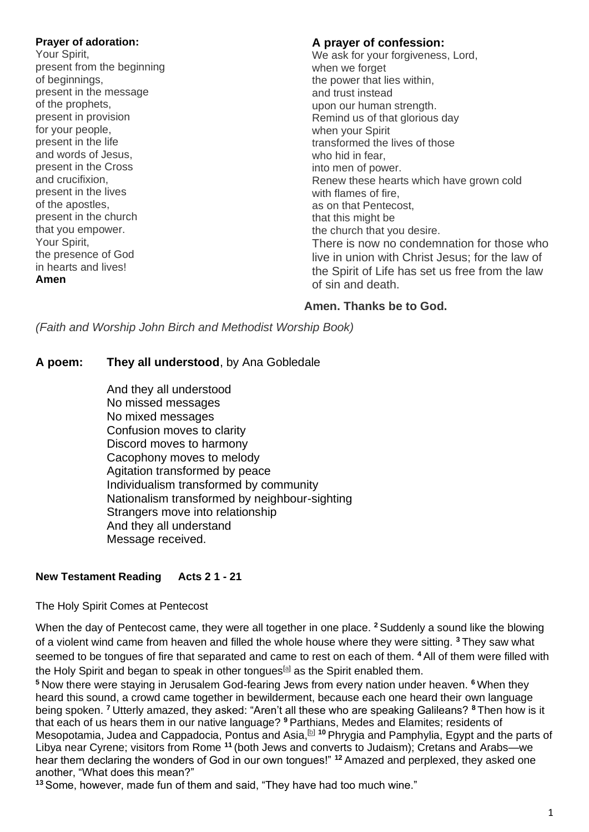#### **Prayer of adoration:**

Your Spirit, present from the beginning of beginnings, present in the message of the prophets, present in provision for your people, present in the life and words of Jesus, present in the Cross and crucifixion, present in the lives of the apostles, present in the church that you empower. Your Spirit, the presence of God in hearts and lives! **Amen**

### **A prayer of confession:**

We ask for your forgiveness, Lord, when we forget the power that lies within, and trust instead upon our human strength. Remind us of that glorious day when your Spirit transformed the lives of those who hid in fear, into men of power. Renew these hearts which have grown cold with flames of fire, as on that Pentecost, that this might be the church that you desire. There is now no condemnation for those who live in union with Christ Jesus; for the law of the Spirit of Life has set us free from the law of sin and death.

# **Amen. Thanks be to God.**

*(Faith and Worship John Birch and Methodist Worship Book)*

# **A poem: They all understood**, by Ana Gobledale

And they all understood No missed messages No mixed messages Confusion moves to clarity Discord moves to harmony Cacophony moves to melody Agitation transformed by peace Individualism transformed by community Nationalism transformed by neighbour-sighting Strangers move into relationship And they all understand Message received.

# **New Testament Reading Acts 2 1 - 21**

# The Holy Spirit Comes at Pentecost

When the day of Pentecost came, they were all together in one place. **<sup>2</sup>** Suddenly a sound like the blowing of a violent wind came from heaven and filled the whole house where they were sitting. **<sup>3</sup>** They saw what seemed to be tongues of fire that separated and came to rest on each of them. **<sup>4</sup>** All of them were filled with the Holy Spirit and began to speak in other tongues<sup>[\[a\]](https://www.biblegateway.com/passage/?search=acts+2&version=NIV#fen-NIV-26954a)</sup> as the Spirit enabled them.

**<sup>5</sup>** Now there were staying in Jerusalem God-fearing Jews from every nation under heaven. **<sup>6</sup>** When they heard this sound, a crowd came together in bewilderment, because each one heard their own language being spoken. **<sup>7</sup>** Utterly amazed, they asked: "Aren't all these who are speaking Galileans? **<sup>8</sup>** Then how is it that each of us hears them in our native language? **<sup>9</sup>** Parthians, Medes and Elamites; residents of Mesopotamia, Judea and Cappadocia, Pontus and Asia,<sup>[\[b\]](https://www.biblegateway.com/passage/?search=acts+2&version=NIV#fen-NIV-26959b) 10</sup> Phrygia and Pamphylia, Egypt and the parts of Libya near Cyrene; visitors from Rome **<sup>11</sup>** (both Jews and converts to Judaism); Cretans and Arabs—we hear them declaring the wonders of God in our own tongues!" **<sup>12</sup>** Amazed and perplexed, they asked one another, "What does this mean?"

**<sup>13</sup>** Some, however, made fun of them and said, "They have had too much wine."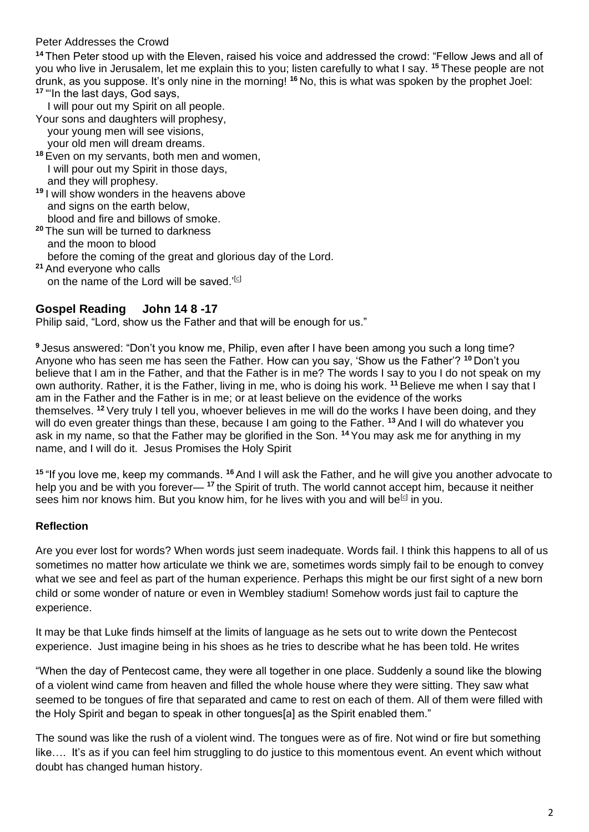## Peter Addresses the Crowd

**<sup>14</sup>** Then Peter stood up with the Eleven, raised his voice and addressed the crowd: "Fellow Jews and all of you who live in Jerusalem, let me explain this to you; listen carefully to what I say. **<sup>15</sup>** These people are not drunk, as you suppose. It's only nine in the morning! **<sup>16</sup>** No, this is what was spoken by the prophet Joel: **<sup>17</sup>** "'In the last days, God says,

I will pour out my Spirit on all people.

- Your sons and daughters will prophesy, your young men will see visions, your old men will dream dreams.
- **<sup>18</sup>** Even on my servants, both men and women, I will pour out my Spirit in those days, and they will prophesy.
- **<sup>19</sup>** I will show wonders in the heavens above and signs on the earth below, blood and fire and billows of smoke.
- **<sup>20</sup>** The sun will be turned to darkness and the moon to blood before the coming of the great and glorious day of the Lord. **<sup>21</sup>** And everyone who calls on the name of the Lord will be saved.' $[CI]$

# **Gospel Reading John 14 8 -17**

Philip said, "Lord, show us the Father and that will be enough for us."

**<sup>9</sup>** Jesus answered: "Don't you know me, Philip, even after I have been among you such a long time? Anyone who has seen me has seen the Father. How can you say, 'Show us the Father'? **<sup>10</sup>** Don't you believe that I am in the Father, and that the Father is in me? The words I say to you I do not speak on my own authority. Rather, it is the Father, living in me, who is doing his work. **<sup>11</sup>** Believe me when I say that I am in the Father and the Father is in me; or at least believe on the evidence of the works themselves. **<sup>12</sup>** Very truly I tell you, whoever believes in me will do the works I have been doing, and they will do even greater things than these, because I am going to the Father. **<sup>13</sup>** And I will do whatever you ask in my name, so that the Father may be glorified in the Son. **<sup>14</sup>** You may ask me for anything in my name, and I will do it. Jesus Promises the Holy Spirit

**<sup>15</sup>** "If you love me, keep my commands. **<sup>16</sup>**And I will ask the Father, and he will give you another advocate to help you and be with you forever— **<sup>17</sup>** the Spirit of truth. The world cannot accept him, because it neither sees him nor knows him. But you know him, for he lives with you and will be<sup>[\[c\]](https://www.biblegateway.com/passage/?search=john+14&version=NIV#fen-NIV-26686c)</sup> in you.

# **Reflection**

Are you ever lost for words? When words just seem inadequate. Words fail. I think this happens to all of us sometimes no matter how articulate we think we are, sometimes words simply fail to be enough to convey what we see and feel as part of the human experience. Perhaps this might be our first sight of a new born child or some wonder of nature or even in Wembley stadium! Somehow words just fail to capture the experience.

It may be that Luke finds himself at the limits of language as he sets out to write down the Pentecost experience. Just imagine being in his shoes as he tries to describe what he has been told. He writes

"When the day of Pentecost came, they were all together in one place. Suddenly a sound like the blowing of a violent wind came from heaven and filled the whole house where they were sitting. They saw what seemed to be tongues of fire that separated and came to rest on each of them. All of them were filled with the Holy Spirit and began to speak in other tongues[a] as the Spirit enabled them."

The sound was like the rush of a violent wind. The tongues were as of fire. Not wind or fire but something like…. It's as if you can feel him struggling to do justice to this momentous event. An event which without doubt has changed human history.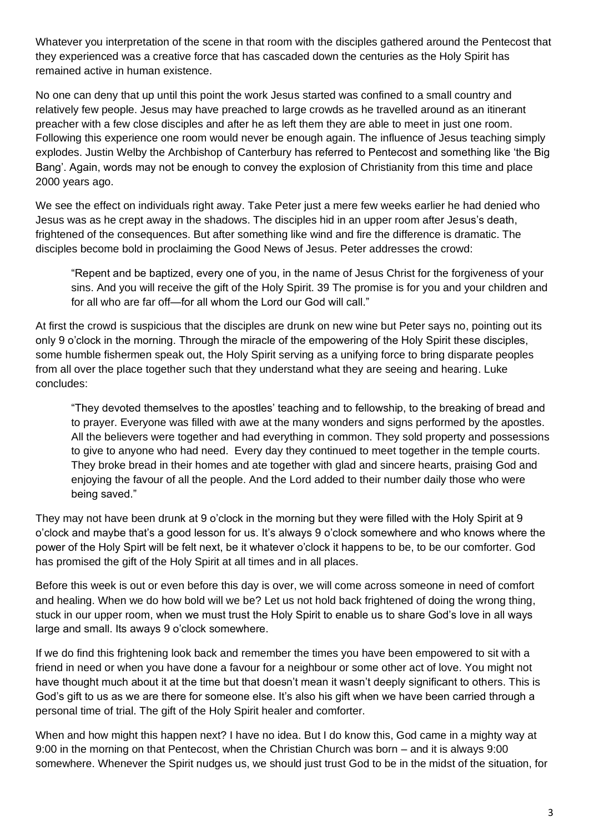Whatever you interpretation of the scene in that room with the disciples gathered around the Pentecost that they experienced was a creative force that has cascaded down the centuries as the Holy Spirit has remained active in human existence.

No one can deny that up until this point the work Jesus started was confined to a small country and relatively few people. Jesus may have preached to large crowds as he travelled around as an itinerant preacher with a few close disciples and after he as left them they are able to meet in just one room. Following this experience one room would never be enough again. The influence of Jesus teaching simply explodes. Justin Welby the Archbishop of Canterbury has referred to Pentecost and something like 'the Big Bang'. Again, words may not be enough to convey the explosion of Christianity from this time and place 2000 years ago.

We see the effect on individuals right away. Take Peter just a mere few weeks earlier he had denied who Jesus was as he crept away in the shadows. The disciples hid in an upper room after Jesus's death, frightened of the consequences. But after something like wind and fire the difference is dramatic. The disciples become bold in proclaiming the Good News of Jesus. Peter addresses the crowd:

"Repent and be baptized, every one of you, in the name of Jesus Christ for the forgiveness of your sins. And you will receive the gift of the Holy Spirit. 39 The promise is for you and your children and for all who are far off—for all whom the Lord our God will call."

At first the crowd is suspicious that the disciples are drunk on new wine but Peter says no, pointing out its only 9 o'clock in the morning. Through the miracle of the empowering of the Holy Spirit these disciples, some humble fishermen speak out, the Holy Spirit serving as a unifying force to bring disparate peoples from all over the place together such that they understand what they are seeing and hearing. Luke concludes:

"They devoted themselves to the apostles' teaching and to fellowship, to the breaking of bread and to prayer. Everyone was filled with awe at the many wonders and signs performed by the apostles. All the believers were together and had everything in common. They sold property and possessions to give to anyone who had need. Every day they continued to meet together in the temple courts. They broke bread in their homes and ate together with glad and sincere hearts, praising God and enjoying the favour of all the people. And the Lord added to their number daily those who were being saved."

They may not have been drunk at 9 o'clock in the morning but they were filled with the Holy Spirit at 9 o'clock and maybe that's a good lesson for us. It's always 9 o'clock somewhere and who knows where the power of the Holy Spirt will be felt next, be it whatever o'clock it happens to be, to be our comforter. God has promised the gift of the Holy Spirit at all times and in all places.

Before this week is out or even before this day is over, we will come across someone in need of comfort and healing. When we do how bold will we be? Let us not hold back frightened of doing the wrong thing, stuck in our upper room, when we must trust the Holy Spirit to enable us to share God's love in all ways large and small. Its aways 9 o'clock somewhere.

If we do find this frightening look back and remember the times you have been empowered to sit with a friend in need or when you have done a favour for a neighbour or some other act of love. You might not have thought much about it at the time but that doesn't mean it wasn't deeply significant to others. This is God's gift to us as we are there for someone else. It's also his gift when we have been carried through a personal time of trial. The gift of the Holy Spirit healer and comforter.

When and how might this happen next? I have no idea. But I do know this, God came in a mighty way at 9:00 in the morning on that Pentecost, when the Christian Church was born – and it is always 9:00 somewhere. Whenever the Spirit nudges us, we should just trust God to be in the midst of the situation, for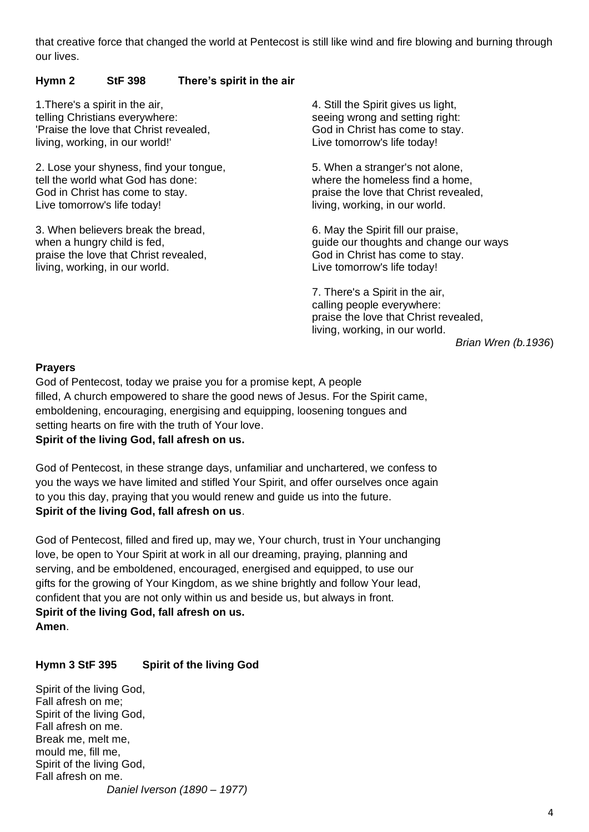that creative force that changed the world at Pentecost is still like wind and fire blowing and burning through our lives.

## **Hymn 2 StF 398 There's spirit in the air**

1.There's a spirit in the air, telling Christians everywhere: 'Praise the love that Christ revealed, living, working, in our world!'

2. Lose your shyness, find your tongue, tell the world what God has done: God in Christ has come to stay. Live tomorrow's life today!

3. When believers break the bread, when a hungry child is fed, praise the love that Christ revealed, living, working, in our world.

4. Still the Spirit gives us light, seeing wrong and setting right: God in Christ has come to stay. Live tomorrow's life today!

5. When a stranger's not alone, where the homeless find a home. praise the love that Christ revealed, living, working, in our world.

6. May the Spirit fill our praise, guide our thoughts and change our ways God in Christ has come to stay. Live tomorrow's life today!

7. There's a Spirit in the air, calling people everywhere: praise the love that Christ revealed, living, working, in our world.

*Brian Wren (b.1936*)

#### **Prayers**

God of Pentecost, today we praise you for a promise kept, A people filled, A church empowered to share the good news of Jesus. For the Spirit came, emboldening, encouraging, energising and equipping, loosening tongues and setting hearts on fire with the truth of Your love.

### **Spirit of the living God, fall afresh on us.**

God of Pentecost, in these strange days, unfamiliar and unchartered, we confess to you the ways we have limited and stifled Your Spirit, and offer ourselves once again to you this day, praying that you would renew and guide us into the future. **Spirit of the living God, fall afresh on us**.

God of Pentecost, filled and fired up, may we, Your church, trust in Your unchanging love, be open to Your Spirit at work in all our dreaming, praying, planning and serving, and be emboldened, encouraged, energised and equipped, to use our gifts for the growing of Your Kingdom, as we shine brightly and follow Your lead, confident that you are not only within us and beside us, but always in front. **Spirit of the living God, fall afresh on us. Amen**.

#### **Hymn 3 StF 395 Spirit of the living God**

Spirit of the living God, Fall afresh on me; Spirit of the living God, Fall afresh on me. Break me, melt me, mould me, fill me, Spirit of the living God, Fall afresh on me. *Daniel Iverson (1890 – 1977)*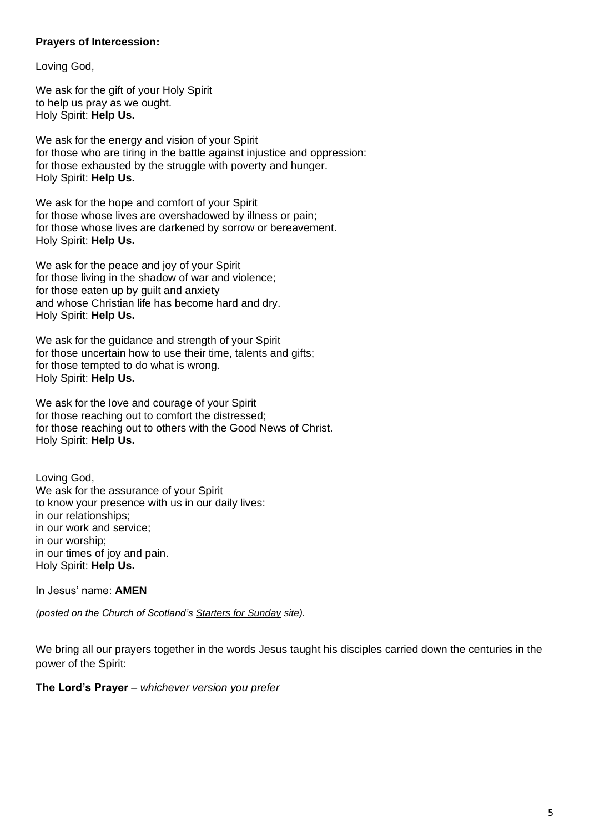### **Prayers of Intercession:**

Loving God,

We ask for the gift of your Holy Spirit to help us pray as we ought. Holy Spirit: **Help Us.**

We ask for the energy and vision of your Spirit for those who are tiring in the battle against injustice and oppression: for those exhausted by the struggle with poverty and hunger. Holy Spirit: **Help Us.**

We ask for the hope and comfort of your Spirit for those whose lives are overshadowed by illness or pain; for those whose lives are darkened by sorrow or bereavement. Holy Spirit: **Help Us.**

We ask for the peace and joy of your Spirit for those living in the shadow of war and violence; for those eaten up by guilt and anxiety and whose Christian life has become hard and dry. Holy Spirit: **Help Us.**

We ask for the guidance and strength of your Spirit for those uncertain how to use their time, talents and gifts; for those tempted to do what is wrong. Holy Spirit: **Help Us.**

We ask for the love and courage of your Spirit for those reaching out to comfort the distressed; for those reaching out to others with the Good News of Christ. Holy Spirit: **Help Us.**

Loving God, We ask for the assurance of your Spirit to know your presence with us in our daily lives: in our relationships; in our work and service; in our worship; in our times of joy and pain. Holy Spirit: **Help Us.**

In Jesus' name: **AMEN**

*(posted on the Church of Scotland's Starters for Sunday site).*

We bring all our prayers together in the words Jesus taught his disciples carried down the centuries in the power of the Spirit:

**The Lord's Prayer** – *whichever version you prefer*